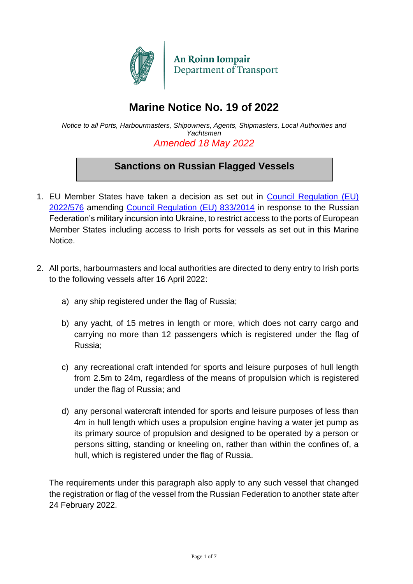

# **Marine Notice No. 19 of 2022**

*Notice to all Ports, Harbourmasters, Shipowners, Agents, Shipmasters, Local Authorities and Yachtsmen Amended 18 May 2022*

# **Sanctions on Russian Flagged Vessels**

- 1. EU Member States have taken a decision as set out in [Council Regulation \(EU\)](https://eur-lex.europa.eu/legal-content/EN/TXT/PDF/?uri=CELEX:32022R0576&from=EN)  [2022/576](https://eur-lex.europa.eu/legal-content/EN/TXT/PDF/?uri=CELEX:32022R0576&from=EN) amending [Council Regulation \(EU\) 833/2014](https://eur-lex.europa.eu/legal-content/GA/TXT/?uri=CELEX:32014R0833) in response to the Russian Federation's military incursion into Ukraine, to restrict access to the ports of European Member States including access to Irish ports for vessels as set out in this Marine **Notice**
- 2. All ports, harbourmasters and local authorities are directed to deny entry to Irish ports to the following vessels after 16 April 2022:
	- a) any ship registered under the flag of Russia;
	- b) any yacht, of 15 metres in length or more, which does not carry cargo and carrying no more than 12 passengers which is registered under the flag of Russia;
	- c) any recreational craft intended for sports and leisure purposes of hull length from 2.5m to 24m, regardless of the means of propulsion which is registered under the flag of Russia; and
	- d) any personal watercraft intended for sports and leisure purposes of less than 4m in hull length which uses a propulsion engine having a water jet pump as its primary source of propulsion and designed to be operated by a person or persons sitting, standing or kneeling on, rather than within the confines of, a hull, which is registered under the flag of Russia.

The requirements under this paragraph also apply to any such vessel that changed the registration or flag of the vessel from the Russian Federation to another state after 24 February 2022.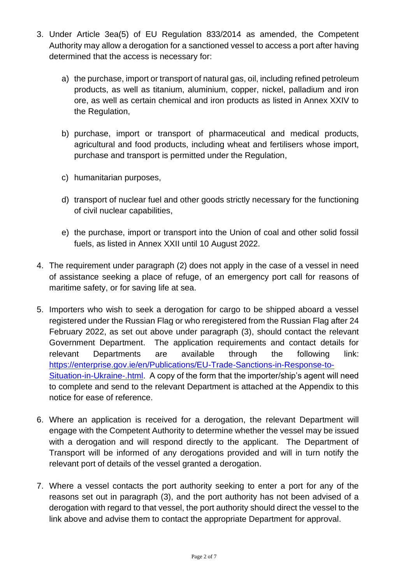- 3. Under Article 3ea(5) of EU Regulation 833/2014 as amended, the Competent Authority may allow a derogation for a sanctioned vessel to access a port after having determined that the access is necessary for:
	- a) the purchase, import or transport of natural gas, oil, including refined petroleum products, as well as titanium, aluminium, copper, nickel, palladium and iron ore, as well as certain chemical and iron products as listed in Annex XXIV to the Regulation,
	- b) purchase, import or transport of pharmaceutical and medical products, agricultural and food products, including wheat and fertilisers whose import, purchase and transport is permitted under the Regulation,
	- c) humanitarian purposes,
	- d) transport of nuclear fuel and other goods strictly necessary for the functioning of civil nuclear capabilities,
	- e) the purchase, import or transport into the Union of coal and other solid fossil fuels, as listed in Annex XXII until 10 August 2022.
- 4. The requirement under paragraph (2) does not apply in the case of a vessel in need of assistance seeking a place of refuge, of an emergency port call for reasons of maritime safety, or for saving life at sea.
- 5. Importers who wish to seek a derogation for cargo to be shipped aboard a vessel registered under the Russian Flag or who reregistered from the Russian Flag after 24 February 2022, as set out above under paragraph (3), should contact the relevant Government Department. The application requirements and contact details for relevant Departments are available through the following link: [https://enterprise.gov.ie/en/Publications/EU-Trade-Sanctions-in-Response-to-](https://enterprise.gov.ie/en/Publications/EU-Trade-Sanctions-in-Response-to-Situation-in-Ukraine-.html)[Situation-in-Ukraine-.html.](https://enterprise.gov.ie/en/Publications/EU-Trade-Sanctions-in-Response-to-Situation-in-Ukraine-.html) A copy of the form that the importer/ship's agent will need to complete and send to the relevant Department is attached at the Appendix to this notice for ease of reference.
- 6. Where an application is received for a derogation, the relevant Department will engage with the Competent Authority to determine whether the vessel may be issued with a derogation and will respond directly to the applicant. The Department of Transport will be informed of any derogations provided and will in turn notify the relevant port of details of the vessel granted a derogation.
- 7. Where a vessel contacts the port authority seeking to enter a port for any of the reasons set out in paragraph (3), and the port authority has not been advised of a derogation with regard to that vessel, the port authority should direct the vessel to the link above and advise them to contact the appropriate Department for approval.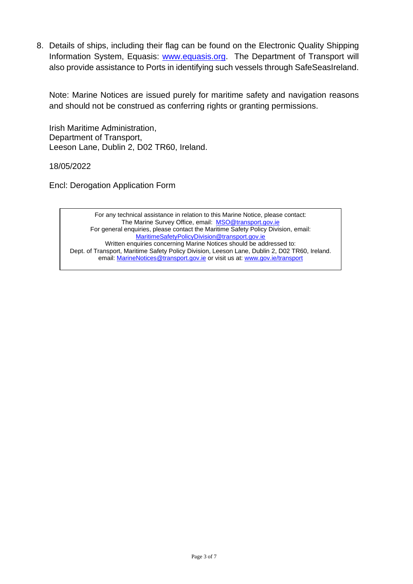8. Details of ships, including their flag can be found on the Electronic Quality Shipping Information System, Equasis: [www.equasis.org.](http://www.equasis.org/) The Department of Transport will also provide assistance to Ports in identifying such vessels through SafeSeasIreland.

Note: Marine Notices are issued purely for maritime safety and navigation reasons and should not be construed as conferring rights or granting permissions.

Irish Maritime Administration, Department of Transport, Leeson Lane, Dublin 2, D02 TR60, Ireland.

18/05/2022

Encl: Derogation Application Form

[MaritimeSafetyPolicyDivision@transport.gov.ie](mailto:MaritimeSafetyPolicyDivision@transport.gov.ie) For any technical assistance in relation to this Marine Notice, please contact: The Marine Survey Office, email: [MSO@transport.gov.ie](mailto:MSO@transport.gov.ie) For general enquiries, please contact the Maritime Safety Policy Division, email: Written enquiries concerning Marine Notices should be addressed to: Dept. of Transport, Maritime Safety Policy Division, Leeson Lane, Dublin 2, D02 TR60, Ireland. email: [MarineNotices@transport.gov.ie](mailto:MarineNotices@transport.gov.ie) or visit us at[: www.gov.ie/transport](http://www.gov.ie/transport)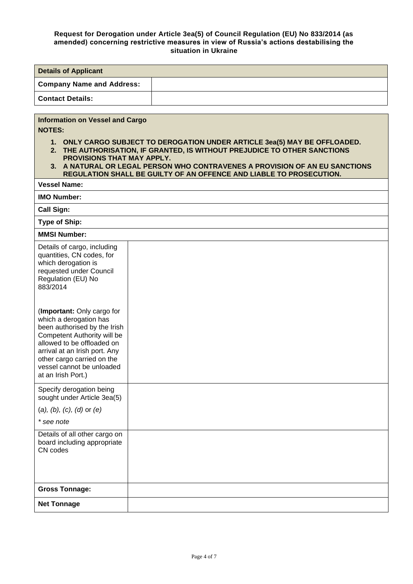#### **Request for Derogation under Article 3ea(5) of Council Regulation (EU) No 833/2014 (as amended) concerning restrictive measures in view of Russia's actions destabilising the situation in Ukraine**

| <b>Details of Applicant</b>                                                                                                                                                                                                                                                                                                     |                                                                     |  |  |  |
|---------------------------------------------------------------------------------------------------------------------------------------------------------------------------------------------------------------------------------------------------------------------------------------------------------------------------------|---------------------------------------------------------------------|--|--|--|
| <b>Company Name and Address:</b>                                                                                                                                                                                                                                                                                                |                                                                     |  |  |  |
| <b>Contact Details:</b>                                                                                                                                                                                                                                                                                                         |                                                                     |  |  |  |
|                                                                                                                                                                                                                                                                                                                                 |                                                                     |  |  |  |
| <b>Information on Vessel and Cargo</b><br><b>NOTES:</b><br>1. ONLY CARGO SUBJECT TO DEROGATION UNDER ARTICLE 3ea(5) MAY BE OFFLOADED.<br>2. THE AUTHORISATION, IF GRANTED, IS WITHOUT PREJUDICE TO OTHER SANCTIONS<br>PROVISIONS THAT MAY APPLY.<br>3. A NATURAL OR LEGAL PERSON WHO CONTRAVENES A PROVISION OF AN EU SANCTIONS |                                                                     |  |  |  |
| <b>Vessel Name:</b>                                                                                                                                                                                                                                                                                                             | REGULATION SHALL BE GUILTY OF AN OFFENCE AND LIABLE TO PROSECUTION. |  |  |  |
| <b>IMO Number:</b>                                                                                                                                                                                                                                                                                                              |                                                                     |  |  |  |
| <b>Call Sign:</b>                                                                                                                                                                                                                                                                                                               |                                                                     |  |  |  |
| <b>Type of Ship:</b>                                                                                                                                                                                                                                                                                                            |                                                                     |  |  |  |
| <b>MMSI Number:</b>                                                                                                                                                                                                                                                                                                             |                                                                     |  |  |  |
| Details of cargo, including<br>quantities, CN codes, for<br>which derogation is<br>requested under Council<br>Regulation (EU) No<br>883/2014                                                                                                                                                                                    |                                                                     |  |  |  |
| (Important: Only cargo for<br>which a derogation has<br>been authorised by the Irish<br>Competent Authority will be<br>allowed to be offloaded on<br>arrival at an Irish port. Any<br>other cargo carried on the<br>vessel cannot be unloaded<br>at an Irish Port.)                                                             |                                                                     |  |  |  |
| Specify derogation being<br>sought under Article 3ea(5)                                                                                                                                                                                                                                                                         |                                                                     |  |  |  |
| $(a), (b), (c), (d)$ or $(e)$                                                                                                                                                                                                                                                                                                   |                                                                     |  |  |  |
| * see note                                                                                                                                                                                                                                                                                                                      |                                                                     |  |  |  |
| Details of all other cargo on<br>board including appropriate<br>CN codes                                                                                                                                                                                                                                                        |                                                                     |  |  |  |
| <b>Gross Tonnage:</b>                                                                                                                                                                                                                                                                                                           |                                                                     |  |  |  |
| <b>Net Tonnage</b>                                                                                                                                                                                                                                                                                                              |                                                                     |  |  |  |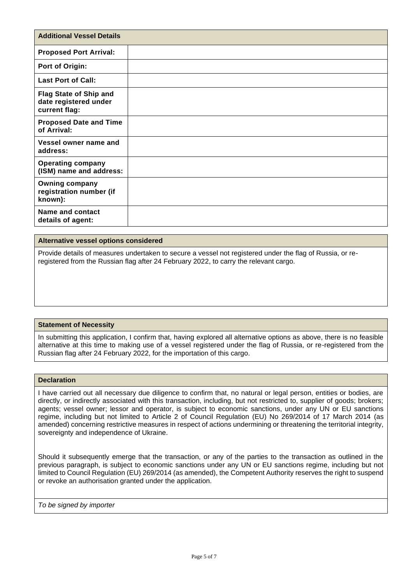| <b>Additional Vessel Details</b>                                        |  |
|-------------------------------------------------------------------------|--|
| <b>Proposed Port Arrival:</b>                                           |  |
| Port of Origin:                                                         |  |
| <b>Last Port of Call:</b>                                               |  |
| <b>Flag State of Ship and</b><br>date registered under<br>current flag: |  |
| <b>Proposed Date and Time</b><br>of Arrival:                            |  |
| Vessel owner name and<br>address:                                       |  |
| <b>Operating company</b><br>(ISM) name and address:                     |  |
| <b>Owning company</b><br>registration number (if<br>known):             |  |
| Name and contact<br>details of agent:                                   |  |

#### **Alternative vessel options considered**

Provide details of measures undertaken to secure a vessel not registered under the flag of Russia, or reregistered from the Russian flag after 24 February 2022, to carry the relevant cargo.

#### **Statement of Necessity**

In submitting this application, I confirm that, having explored all alternative options as above, there is no feasible alternative at this time to making use of a vessel registered under the flag of Russia, or re-registered from the Russian flag after 24 February 2022, for the importation of this cargo.

#### **Declaration**

I have carried out all necessary due diligence to confirm that, no natural or legal person, entities or bodies, are directly, or indirectly associated with this transaction, including, but not restricted to, supplier of goods; brokers; agents; vessel owner; lessor and operator, is subject to economic sanctions, under any UN or EU sanctions regime, including but not limited to Article 2 of Council Regulation (EU) No 269/2014 of 17 March 2014 (as amended) concerning restrictive measures in respect of actions undermining or threatening the territorial integrity, sovereignty and independence of Ukraine.

Should it subsequently emerge that the transaction, or any of the parties to the transaction as outlined in the previous paragraph, is subject to economic sanctions under any UN or EU sanctions regime, including but not limited to Council Regulation (EU) 269/2014 (as amended), the Competent Authority reserves the right to suspend or revoke an authorisation granted under the application.

*To be signed by importer*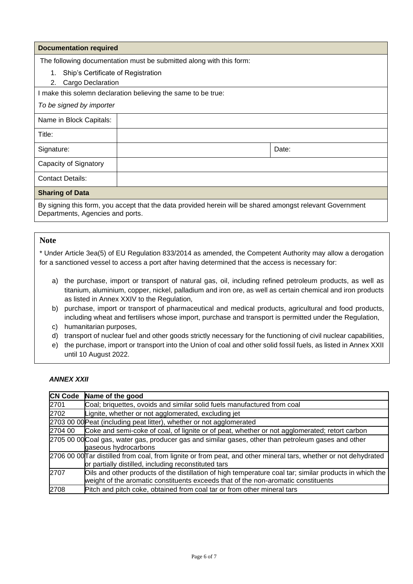#### **Documentation required**

The following documentation must be submitted along with this form:

- 1. Ship's Certificate of Registration
- 2. Cargo Declaration

I make this solemn declaration believing the same to be true:

#### *To be signed by importer*

| Name in Block Capitals:      |       |
|------------------------------|-------|
| Title:                       |       |
| Signature:                   | Date: |
| <b>Capacity of Signatory</b> |       |
| <b>Contact Details:</b>      |       |
| <b>Sharing of Data</b>       |       |

**Sharing of Data**

By signing this form, you accept that the data provided herein will be shared amongst relevant Government Departments, Agencies and ports.

## **Note**

\* Under Article 3ea(5) of EU Regulation 833/2014 as amended, the Competent Authority may allow a derogation for a sanctioned vessel to access a port after having determined that the access is necessary for:

- a) the purchase, import or transport of natural gas, oil, including refined petroleum products, as well as titanium, aluminium, copper, nickel, palladium and iron ore, as well as certain chemical and iron products as listed in Annex XXIV to the Regulation,
- b) purchase, import or transport of pharmaceutical and medical products, agricultural and food products, including wheat and fertilisers whose import, purchase and transport is permitted under the Regulation,
- c) humanitarian purposes,
- d) transport of nuclear fuel and other goods strictly necessary for the functioning of civil nuclear capabilities,
- e) the purchase, import or transport into the Union of coal and other solid fossil fuels, as listed in Annex XXII until 10 August 2022.

#### *ANNEX XXII*

|         | CN Code Name of the good                                                                                        |
|---------|-----------------------------------------------------------------------------------------------------------------|
| 2701    | Coal; briquettes, ovoids and similar solid fuels manufactured from coal                                         |
| 2702    | Lignite, whether or not agglomerated, excluding jet                                                             |
|         | 2703 00 00 Peat (including peat litter), whether or not agglomerated                                            |
| 2704 00 | Coke and semi-coke of coal, of lignite or of peat, whether or not agglomerated; retort carbon                   |
|         | 2705 00 00 Coal gas, water gas, producer gas and similar gases, other than petroleum gases and other            |
|         | gaseous hydrocarbons                                                                                            |
|         | 2706 00 00Tar distilled from coal, from lignite or from peat, and other mineral tars, whether or not dehydrated |
|         | or partially distilled, including reconstituted tars                                                            |
| 2707    | Oils and other products of the distillation of high temperature coal tar; similar products in which the         |
|         | weight of the aromatic constituents exceeds that of the non-aromatic constituents                               |
| 2708    | Pitch and pitch coke, obtained from coal tar or from other mineral tars                                         |